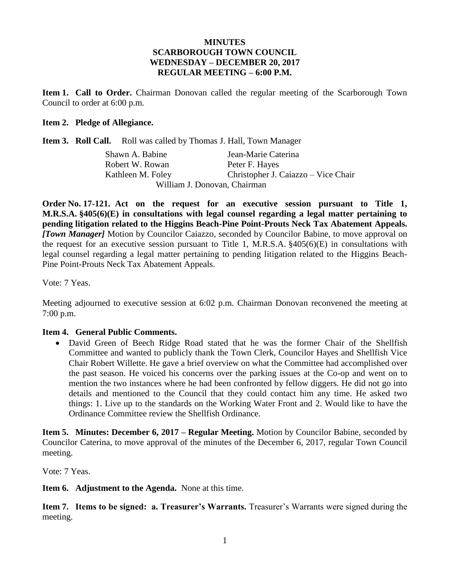# **MINUTES SCARBOROUGH TOWN COUNCIL WEDNESDAY – DECEMBER 20, 2017 REGULAR MEETING – 6:00 P.M.**

**Item 1. Call to Order.** Chairman Donovan called the regular meeting of the Scarborough Town Council to order at 6:00 p.m.

# **Item 2. Pledge of Allegiance.**

**Item 3. Roll Call.** Roll was called by Thomas J. Hall, Town Manager

| Shawn A. Babine              | Jean-Marie Caterina                 |
|------------------------------|-------------------------------------|
| Robert W. Rowan              | Peter F. Hayes                      |
| Kathleen M. Foley            | Christopher J. Caiazzo – Vice Chair |
| William J. Donovan, Chairman |                                     |

**Order No. 17-121. Act on the request for an executive session pursuant to Title 1, M.R.S.A. §405(6)(E) in consultations with legal counsel regarding a legal matter pertaining to pending litigation related to the Higgins Beach-Pine Point-Prouts Neck Tax Abatement Appeals.**  *[Town Manager]* Motion by Councilor Caiazzo, seconded by Councilor Babine, to move approval on the request for an executive session pursuant to Title 1, M.R.S.A. §405(6)(E) in consultations with legal counsel regarding a legal matter pertaining to pending litigation related to the Higgins Beach-Pine Point-Prouts Neck Tax Abatement Appeals.

Vote: 7 Yeas.

Meeting adjourned to executive session at 6:02 p.m. Chairman Donovan reconvened the meeting at 7:00 p.m.

## **Item 4. General Public Comments.**

 David Green of Beech Ridge Road stated that he was the former Chair of the Shellfish Committee and wanted to publicly thank the Town Clerk, Councilor Hayes and Shellfish Vice Chair Robert Willette. He gave a brief overview on what the Committee had accomplished over the past season. He voiced his concerns over the parking issues at the Co-op and went on to mention the two instances where he had been confronted by fellow diggers. He did not go into details and mentioned to the Council that they could contact him any time. He asked two things: 1. Live up to the standards on the Working Water Front and 2. Would like to have the Ordinance Committee review the Shellfish Ordinance.

**Item 5. Minutes: December 6, 2017 – Regular Meeting.** Motion by Councilor Babine, seconded by Councilor Caterina, to move approval of the minutes of the December 6, 2017, regular Town Council meeting.

Vote: 7 Yeas.

**Item 6. Adjustment to the Agenda.** None at this time.

**Item 7. Items to be signed: a. Treasurer's Warrants.** Treasurer's Warrants were signed during the meeting.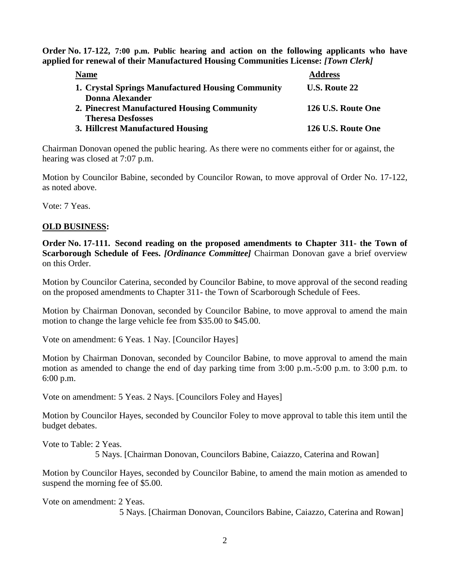**Order No. 17-122, 7:00 p.m. Public hearing and action on the following applicants who have applied for renewal of their Manufactured Housing Communities License:** *[Town Clerk]*

| <b>Name</b>                                       | <b>Address</b>       |
|---------------------------------------------------|----------------------|
| 1. Crystal Springs Manufactured Housing Community | <b>U.S. Route 22</b> |
| <b>Donna Alexander</b>                            |                      |
| 2. Pinecrest Manufactured Housing Community       | 126 U.S. Route One   |
| <b>Theresa Desfosses</b>                          |                      |
| 3. Hillcrest Manufactured Housing                 | 126 U.S. Route One   |

Chairman Donovan opened the public hearing. As there were no comments either for or against, the hearing was closed at 7:07 p.m.

Motion by Councilor Babine, seconded by Councilor Rowan, to move approval of Order No. 17-122, as noted above.

Vote: 7 Yeas.

# **OLD BUSINESS:**

**Order No. 17-111. Second reading on the proposed amendments to Chapter 311- the Town of Scarborough Schedule of Fees.** *[Ordinance Committee]* Chairman Donovan gave a brief overview on this Order.

Motion by Councilor Caterina, seconded by Councilor Babine, to move approval of the second reading on the proposed amendments to Chapter 311- the Town of Scarborough Schedule of Fees.

Motion by Chairman Donovan, seconded by Councilor Babine, to move approval to amend the main motion to change the large vehicle fee from \$35.00 to \$45.00.

Vote on amendment: 6 Yeas. 1 Nay. [Councilor Hayes]

Motion by Chairman Donovan, seconded by Councilor Babine, to move approval to amend the main motion as amended to change the end of day parking time from 3:00 p.m.-5:00 p.m. to 3:00 p.m. to 6:00 p.m.

Vote on amendment: 5 Yeas. 2 Nays. [Councilors Foley and Hayes]

Motion by Councilor Hayes, seconded by Councilor Foley to move approval to table this item until the budget debates.

Vote to Table: 2 Yeas.

5 Nays. [Chairman Donovan, Councilors Babine, Caiazzo, Caterina and Rowan]

Motion by Councilor Hayes, seconded by Councilor Babine, to amend the main motion as amended to suspend the morning fee of \$5.00.

Vote on amendment: 2 Yeas. 5 Nays. [Chairman Donovan, Councilors Babine, Caiazzo, Caterina and Rowan]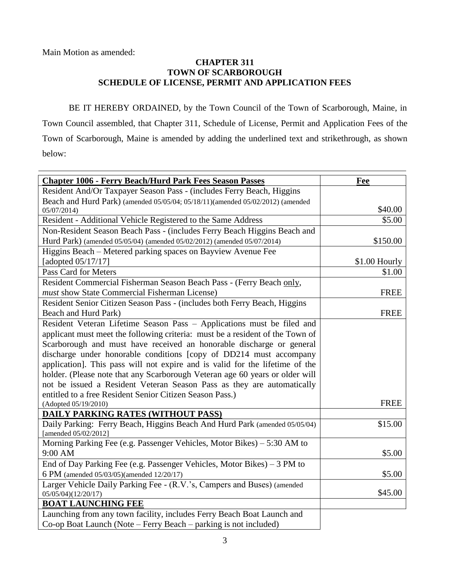Main Motion as amended:

# **CHAPTER 311 TOWN OF SCARBOROUGH SCHEDULE OF LICENSE, PERMIT AND APPLICATION FEES**

BE IT HEREBY ORDAINED, by the Town Council of the Town of Scarborough, Maine, in Town Council assembled, that Chapter 311, Schedule of License, Permit and Application Fees of the Town of Scarborough, Maine is amended by adding the underlined text and strikethrough, as shown below:

| <b>Chapter 1006 - Ferry Beach/Hurd Park Fees Season Passes</b>                 | Fee           |
|--------------------------------------------------------------------------------|---------------|
| Resident And/Or Taxpayer Season Pass - (includes Ferry Beach, Higgins          |               |
| Beach and Hurd Park) (amended 05/05/04; 05/18/11)(amended 05/02/2012) (amended |               |
| 05/07/2014)                                                                    | \$40.00       |
| Resident - Additional Vehicle Registered to the Same Address                   | \$5.00        |
| Non-Resident Season Beach Pass - (includes Ferry Beach Higgins Beach and       |               |
| Hurd Park) (amended 05/05/04) (amended 05/02/2012) (amended 05/07/2014)        | \$150.00      |
| Higgins Beach - Metered parking spaces on Bayview Avenue Fee                   |               |
| [adopted 05/17/17]                                                             | \$1.00 Hourly |
| Pass Card for Meters                                                           | \$1.00        |
| Resident Commercial Fisherman Season Beach Pass - (Ferry Beach only,           |               |
| must show State Commercial Fisherman License)                                  | <b>FREE</b>   |
| Resident Senior Citizen Season Pass - (includes both Ferry Beach, Higgins      |               |
| Beach and Hurd Park)                                                           | <b>FREE</b>   |
| Resident Veteran Lifetime Season Pass - Applications must be filed and         |               |
| applicant must meet the following criteria: must be a resident of the Town of  |               |
| Scarborough and must have received an honorable discharge or general           |               |
| discharge under honorable conditions [copy of DD214 must accompany             |               |
| application]. This pass will not expire and is valid for the lifetime of the   |               |
| holder. (Please note that any Scarborough Veteran age 60 years or older will   |               |
| not be issued a Resident Veteran Season Pass as they are automatically         |               |
| entitled to a free Resident Senior Citizen Season Pass.)                       |               |
| (Adopted 05/19/2010)                                                           | <b>FREE</b>   |
| <b>DAILY PARKING RATES (WITHOUT PASS)</b>                                      |               |
| Daily Parking: Ferry Beach, Higgins Beach And Hurd Park (amended 05/05/04)     | \$15.00       |
| [amended 05/02/2012]                                                           |               |
| Morning Parking Fee (e.g. Passenger Vehicles, Motor Bikes) - 5:30 AM to        |               |
| 9:00 AM                                                                        | \$5.00        |
| End of Day Parking Fee (e.g. Passenger Vehicles, Motor Bikes) $-3$ PM to       |               |
| 6 PM (amended 05/03/05)(amended 12/20/17)                                      | \$5.00        |
| Larger Vehicle Daily Parking Fee - (R.V.'s, Campers and Buses) (amended        |               |
| 05/05/04)(12/20/17)                                                            | \$45.00       |
| <b>BOAT LAUNCHING FEE</b>                                                      |               |
| Launching from any town facility, includes Ferry Beach Boat Launch and         |               |
| Co-op Boat Launch (Note – Ferry Beach – parking is not included)               |               |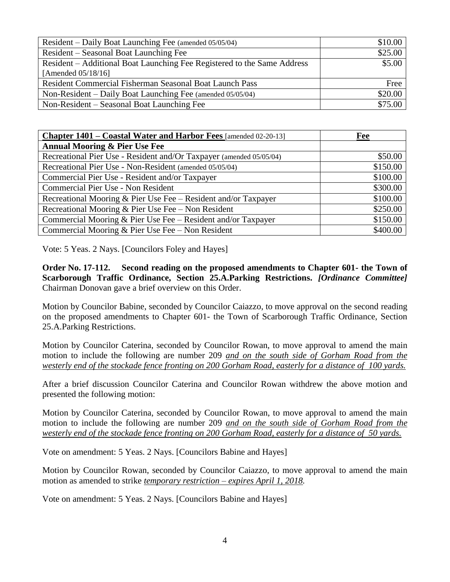| Resident – Daily Boat Launching Fee (amended 05/05/04)                  | \$10.00 |
|-------------------------------------------------------------------------|---------|
| Resident – Seasonal Boat Launching Fee                                  | \$25.00 |
| Resident – Additional Boat Launching Fee Registered to the Same Address | \$5.00  |
| [Amended $05/18/16$ ]                                                   |         |
| <b>Resident Commercial Fisherman Seasonal Boat Launch Pass</b>          | Free    |
| Non-Resident – Daily Boat Launching Fee (amended 05/05/04)              | \$20.00 |
| Non-Resident – Seasonal Boat Launching Fee                              | \$75.00 |

| Chapter 1401 – Coastal Water and Harbor Fees [amended 02-20-13]     | Fee      |
|---------------------------------------------------------------------|----------|
| <b>Annual Mooring &amp; Pier Use Fee</b>                            |          |
| Recreational Pier Use - Resident and/Or Taxpayer (amended 05/05/04) | \$50.00  |
| Recreational Pier Use - Non-Resident (amended 05/05/04)             | \$150.00 |
| Commercial Pier Use - Resident and/or Taxpayer                      | \$100.00 |
| Commercial Pier Use - Non Resident                                  | \$300.00 |
| Recreational Mooring & Pier Use Fee - Resident and/or Taxpayer      | \$100.00 |
| Recreational Mooring & Pier Use Fee – Non Resident                  | \$250.00 |
| Commercial Mooring & Pier Use Fee $-$ Resident and/or Taxpayer      | \$150.00 |
| Commercial Mooring & Pier Use Fee - Non Resident                    | \$400.00 |

Vote: 5 Yeas. 2 Nays. [Councilors Foley and Hayes]

**Order No. 17-112. Second reading on the proposed amendments to Chapter 601- the Town of Scarborough Traffic Ordinance, Section 25.A.Parking Restrictions.** *[Ordinance Committee]* Chairman Donovan gave a brief overview on this Order.

Motion by Councilor Babine, seconded by Councilor Caiazzo, to move approval on the second reading on the proposed amendments to Chapter 601- the Town of Scarborough Traffic Ordinance, Section 25.A.Parking Restrictions.

Motion by Councilor Caterina, seconded by Councilor Rowan, to move approval to amend the main motion to include the following are number 209 *and on the south side of Gorham Road from the westerly end of the stockade fence fronting on 200 Gorham Road, easterly for a distance of 100 yards.*

After a brief discussion Councilor Caterina and Councilor Rowan withdrew the above motion and presented the following motion:

Motion by Councilor Caterina, seconded by Councilor Rowan, to move approval to amend the main motion to include the following are number 209 *and on the south side of Gorham Road from the westerly end of the stockade fence fronting on 200 Gorham Road, easterly for a distance of 50 yards.*

Vote on amendment: 5 Yeas. 2 Nays. [Councilors Babine and Hayes]

Motion by Councilor Rowan, seconded by Councilor Caiazzo, to move approval to amend the main motion as amended to strike *temporary restriction – expires April 1, 2018.*

Vote on amendment: 5 Yeas. 2 Nays. [Councilors Babine and Hayes]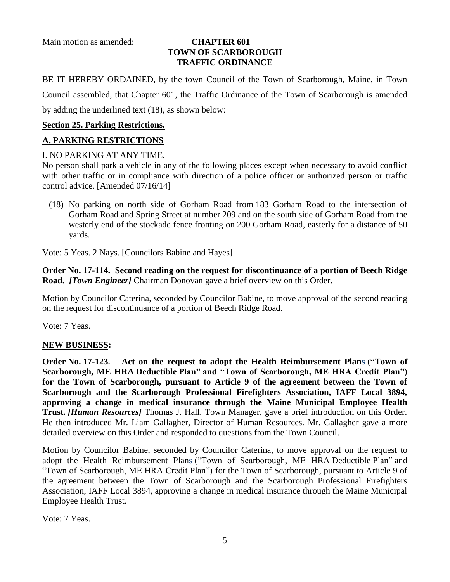Main motion as amended: **CHAPTER 601**

# **TOWN OF SCARBOROUGH TRAFFIC ORDINANCE**

BE IT HEREBY ORDAINED, by the town Council of the Town of Scarborough, Maine, in Town Council assembled, that Chapter 601, the Traffic Ordinance of the Town of Scarborough is amended by adding the underlined text (18), as shown below:

# **Section 25. Parking Restrictions.**

# **A. PARKING RESTRICTIONS**

# I. NO PARKING AT ANY TIME.

No person shall park a vehicle in any of the following places except when necessary to avoid conflict with other traffic or in compliance with direction of a police officer or authorized person or traffic control advice. [Amended 07/16/14]

(18) No parking on north side of Gorham Road from 183 Gorham Road to the intersection of Gorham Road and Spring Street at number 209 and on the south side of Gorham Road from the westerly end of the stockade fence fronting on [200 Gorham Road,](https://maps.google.com/?q=188+Gorham+Road&entry=gmail&source=g) easterly for a distance of 50 yards.

Vote: 5 Yeas. 2 Nays. [Councilors Babine and Hayes]

**Order No. 17-114. Second reading on the request for discontinuance of a portion of Beech Ridge Road.** *[Town Engineer]* Chairman Donovan gave a brief overview on this Order.

Motion by Councilor Caterina, seconded by Councilor Babine, to move approval of the second reading on the request for discontinuance of a portion of Beech Ridge Road.

Vote: 7 Yeas.

# **NEW BUSINESS:**

**Order No. 17-123. Act on the request to adopt the Health Reimbursement Plans ("Town of Scarborough, ME HRA Deductible Plan" and "Town of Scarborough, ME HRA Credit Plan") for the Town of Scarborough, pursuant to Article 9 of the agreement between the Town of Scarborough and the Scarborough Professional Firefighters Association, IAFF Local 3894, approving a change in medical insurance through the Maine Municipal Employee Health Trust.** *[Human Resources]* Thomas J. Hall, Town Manager, gave a brief introduction on this Order. He then introduced Mr. Liam Gallagher, Director of Human Resources. Mr. Gallagher gave a more detailed overview on this Order and responded to questions from the Town Council.

Motion by Councilor Babine, seconded by Councilor Caterina, to move approval on the request to adopt the Health Reimbursement Plans ("Town of Scarborough, ME HRA Deductible Plan" and "Town of Scarborough, ME HRA Credit Plan") for the Town of Scarborough, pursuant to Article 9 of the agreement between the Town of Scarborough and the Scarborough Professional Firefighters Association, IAFF Local 3894, approving a change in medical insurance through the Maine Municipal Employee Health Trust.

Vote: 7 Yeas.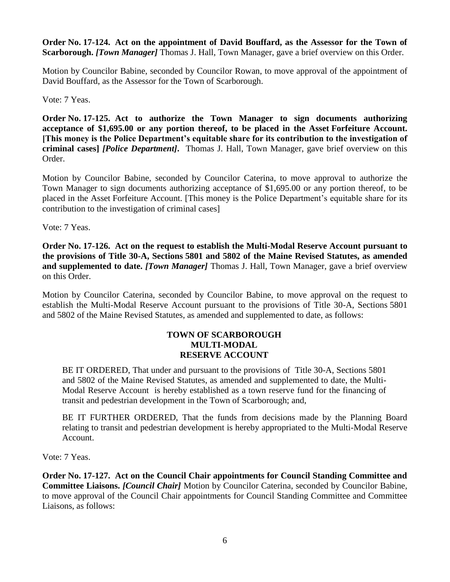**Order No. 17-124. Act on the appointment of David Bouffard, as the Assessor for the Town of Scarborough.** *[Town Manager]* Thomas J. Hall, Town Manager, gave a brief overview on this Order.

Motion by Councilor Babine, seconded by Councilor Rowan, to move approval of the appointment of David Bouffard, as the Assessor for the Town of Scarborough.

Vote: 7 Yeas.

**Order No. 17-125. Act to authorize the Town Manager to sign documents authorizing acceptance of \$1,695.00 or any portion thereof, to be placed in the Asset Forfeiture Account. [This money is the Police Department's equitable share for its contribution to the investigation of criminal cases]** *[Police Department]***.** Thomas J. Hall, Town Manager, gave brief overview on this Order.

Motion by Councilor Babine, seconded by Councilor Caterina, to move approval to authorize the Town Manager to sign documents authorizing acceptance of \$1,695.00 or any portion thereof, to be placed in the Asset Forfeiture Account. [This money is the Police Department's equitable share for its contribution to the investigation of criminal cases]

Vote: 7 Yeas.

**Order No. 17-126. Act on the request to establish the Multi-Modal Reserve Account pursuant to the provisions of Title 30-A, Sections 5801 and 5802 of the Maine Revised Statutes, as amended and supplemented to date.** *[Town Manager]* Thomas J. Hall, Town Manager, gave a brief overview on this Order.

Motion by Councilor Caterina, seconded by Councilor Babine, to move approval on the request to establish the Multi-Modal Reserve Account pursuant to the provisions of Title 30-A, Sections 5801 and 5802 of the Maine Revised Statutes, as amended and supplemented to date, as follows:

# **TOWN OF SCARBOROUGH MULTI-MODAL RESERVE ACCOUNT**

BE IT ORDERED, That under and pursuant to the provisions of Title 30-A, Sections 5801 and 5802 of the Maine Revised Statutes, as amended and supplemented to date, the Multi-Modal Reserve Account is hereby established as a town reserve fund for the financing of transit and pedestrian development in the Town of Scarborough; and,

BE IT FURTHER ORDERED, That the funds from decisions made by the Planning Board relating to transit and pedestrian development is hereby appropriated to the Multi-Modal Reserve Account.

Vote: 7 Yeas.

**Order No. 17-127. Act on the Council Chair appointments for Council Standing Committee and Committee Liaisons.** *[Council Chair]* Motion by Councilor Caterina, seconded by Councilor Babine, to move approval of the Council Chair appointments for Council Standing Committee and Committee Liaisons, as follows: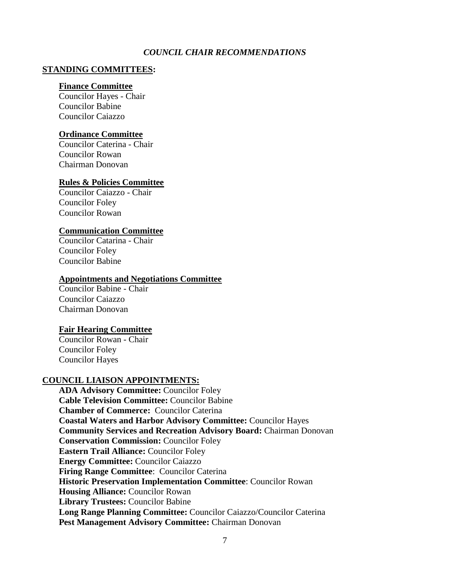## *COUNCIL CHAIR RECOMMENDATIONS*

#### **STANDING COMMITTEES:**

#### **[Finance Committee](https://sites.google.com/scarboroughmaine.org/towncouncil/committees/finance-committee)**

Councilor Hayes - Chair Councilor Babine Councilor Caiazzo

#### **[Ordinance Committee](https://sites.google.com/scarboroughmaine.org/towncouncil/committees/ordinance-committee)**

Councilor Caterina - Chair Councilor Rowan Chairman Donovan

#### **[Rules & Policies Committee](https://sites.google.com/scarboroughmaine.org/towncouncil/committees/rules-policies-committee)**

Councilor Caiazzo - Chair Councilor Foley Councilor Rowan

## **Communication Committee**

Councilor Catarina - Chair Councilor Foley Councilor Babine

#### **Appointments and Negotiations Committee**

Councilor Babine - Chair Councilor Caiazzo Chairman Donovan

### **Fair Hearing Committee**

Councilor Rowan - Chair Councilor Foley Councilor Hayes

#### **COUNCIL LIAISON APPOINTMENTS:**

**[ADA Advisory Committee:](http://www.scarboroughmaine.org/town-government/boards-committees/ada-advisory-committee)** Councilor Foley **[Cable Television Committee:](http://www.scarboroughmaine.org/town-government/boards-committees/cable-television-committee)** Councilor Babine **Chamber of Commerce:** Councilor Caterina **[Coastal Waters and Harbor Advisory Committee:](http://www.scarboroughmaine.org/town-government/boards-committees/coastal-waters-and-harbor-advisory-committee)** Councilor Hayes **[Community Services and Recreation Advisory Board:](http://www.scarboroughmaine.org/town-government/boards-committees/community-services-and-recreation-advisory-board)** Chairman Donovan **[Conservation Commission:](http://www.scarboroughmaine.org/town-government/boards-committees/conservation-commission)** Councilor Foley **Eastern Trail Alliance:** Councilor Foley **[Energy Committee:](http://www.scarboroughmaine.org/town-government/boards-committees/energy-committee)** Councilor Caiazzo **[Firing Range Committee](http://www.scarboroughmaine.org/town-government/boards-committees/firing-range-committee)**: Councilor Caterina **[Historic Preservation Implementation Committee](http://www.scarboroughmaine.org/town-government/boards-committees/historic-preservation-implementation-committee)**: Councilor Rowan **Housing Alliance: Councilor Rowan Library Trustees:** Councilor Babine **[Long Range Planning Committee:](http://www.scarboroughmaine.org/town-government/boards-committees/long-range-planning-committee)** Councilor Caiazzo/Councilor Caterina **[Pest Management Advisory Committee:](http://www.scarboroughmaine.org/town-government/boards-committees/pest-management-advisory-committee)** Chairman Donovan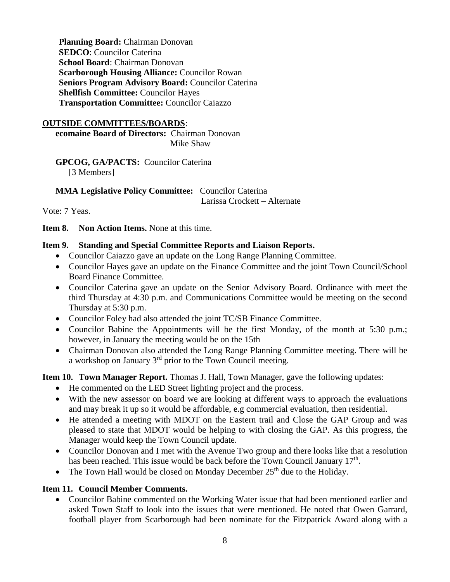**[Planning Board:](http://www.scarboroughmaine.org/town-government/boards-committees/planning-board)** Chairman Donovan **SEDCO**: Councilor Caterina **School Board**: Chairman Donovan **[Scarborough Housing Alliance:](http://www.scarboroughmaine.org/town-government/boards-committees/scarborough-housing-alliance)** Councilor Rowan **[Seniors Program Advisory Board:](http://www.scarboroughmaine.org/town-government/boards-committees/seniors-program-advisory-board)** Councilor Caterina **[Shellfish Committee:](http://www.scarboroughmaine.org/town-government/boards-committees/shellfish-committee)** Councilor Hayes **[Transportation Committee:](http://www.scarboroughmaine.org/town-government/boards-committees/ad-hoc-transportation-committee)** Councilor Caiazzo

## **OUTSIDE COMMITTEES/BOARDS**:

**ecomaine Board of Directors:** Chairman Donovan Mike Shaw

**GPCOG, GA/PACTS:** Councilor Caterina [3 Members]

**MMA Legislative Policy Committee:** Councilor Caterina Larissa Crockett **–** Alternate

Vote: 7 Yeas.

**Item 8. Non Action Items.** None at this time.

# **Item 9. Standing and Special Committee Reports and Liaison Reports.**

- Councilor Caiazzo gave an update on the Long Range Planning Committee.
- Councilor Hayes gave an update on the Finance Committee and the joint Town Council/School Board Finance Committee.
- Councilor Caterina gave an update on the Senior Advisory Board. Ordinance with meet the third Thursday at 4:30 p.m. and Communications Committee would be meeting on the second Thursday at 5:30 p.m.
- Councilor Foley had also attended the joint TC/SB Finance Committee.
- Councilor Babine the Appointments will be the first Monday, of the month at 5:30 p.m.; however, in January the meeting would be on the 15th
- Chairman Donovan also attended the Long Range Planning Committee meeting. There will be a workshop on January 3rd prior to the Town Council meeting.

**Item 10. Town Manager Report.** Thomas J. Hall, Town Manager, gave the following updates:

- He commented on the LED Street lighting project and the process.
- With the new assessor on board we are looking at different ways to approach the evaluations and may break it up so it would be affordable, e.g commercial evaluation, then residential.
- He attended a meeting with MDOT on the Eastern trail and Close the GAP Group and was pleased to state that MDOT would be helping to with closing the GAP. As this progress, the Manager would keep the Town Council update.
- Councilor Donovan and I met with the Avenue Two group and there looks like that a resolution has been reached. This issue would be back before the Town Council January 17<sup>th</sup>.
- The Town Hall would be closed on Monday December  $25<sup>th</sup>$  due to the Holiday.

## **Item 11. Council Member Comments.**

 Councilor Babine commented on the Working Water issue that had been mentioned earlier and asked Town Staff to look into the issues that were mentioned. He noted that Owen Garrard, football player from Scarborough had been nominate for the Fitzpatrick Award along with a